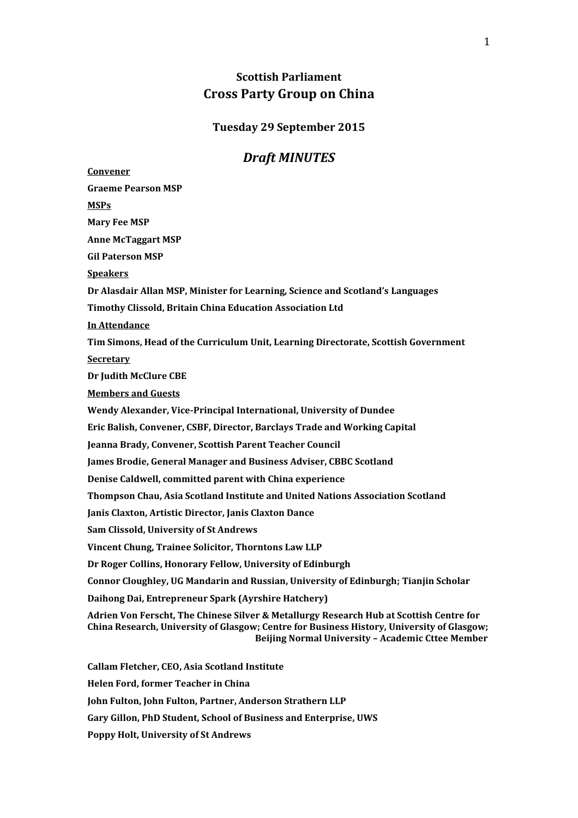# **Scottish Parliament Cross Party Group on China**

#### **Tuesday 29 September 2015**

## *Draft MINUTES*

**Convener Graeme Pearson MSP MSPs Mary Fee MSP Anne McTaggart MSP Gil Paterson MSP Speakers Dr Alasdair Allan MSP, Minister for Learning, Science and Scotland's Languages Timothy Clissold, Britain China Education Association Ltd In Attendance Tim Simons, Head of the Curriculum Unit, Learning Directorate, Scottish Government Secretary Dr Judith McClure CBE Members and Guests Wendy Alexander, Vice-Principal International, University of Dundee Eric Balish, Convener, CSBF, Director, Barclays Trade and Working Capital Jeanna Brady, Convener, Scottish Parent Teacher Council James Brodie, General Manager and Business Adviser, CBBC Scotland Denise Caldwell, committed parent with China experience Thompson Chau, Asia Scotland Institute and United Nations Association Scotland Janis Claxton, Artistic Director, Janis Claxton Dance Sam Clissold, University of St Andrews Vincent Chung, Trainee Solicitor, Thorntons Law LLP Dr Roger Collins, Honorary Fellow, University of Edinburgh Connor Cloughley, UG Mandarin and Russian, University of Edinburgh; Tianjin Scholar Daihong Dai, Entrepreneur Spark (Ayrshire Hatchery) Adrien Von Ferscht, The Chinese Silver & Metallurgy Research Hub at Scottish Centre for China Research, University of Glasgow; Centre for Business History, University of Glasgow; Beijing Normal University – Academic Cttee Member Callam Fletcher, CEO, Asia Scotland Institute Helen Ford, former Teacher in China John Fulton, John Fulton, Partner, Anderson Strathern LLP Gary Gillon, PhD Student, School of Business and Enterprise, UWS**

**Poppy Holt, University of St Andrews**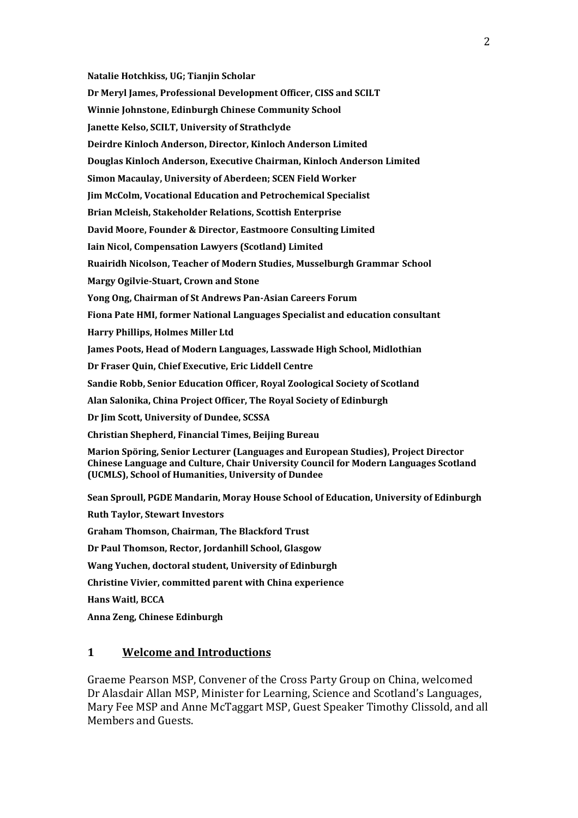**Natalie Hotchkiss, UG; Tianjin Scholar**

**Dr Meryl James, Professional Development Officer, CISS and SCILT**

**Winnie Johnstone, Edinburgh Chinese Community School**

**Janette Kelso, SCILT, University of Strathclyde**

**Deirdre Kinloch Anderson, Director, Kinloch Anderson Limited**

**Douglas Kinloch Anderson, Executive Chairman, Kinloch Anderson Limited**

**Simon Macaulay, University of Aberdeen; SCEN Field Worker**

**Jim McColm, Vocational Education and Petrochemical Specialist**

**Brian Mcleish, Stakeholder Relations, Scottish Enterprise**

**David Moore, Founder & Director, Eastmoore Consulting Limited**

**Iain Nicol, Compensation Lawyers (Scotland) Limited**

**Ruairidh Nicolson, Teacher of Modern Studies, Musselburgh Grammar School**

**Margy Ogilvie-Stuart, Crown and Stone**

**Yong Ong, Chairman of St Andrews Pan-Asian Careers Forum**

**Fiona Pate HMI, former National Languages Specialist and education consultant**

**Harry Phillips, Holmes Miller Ltd**

**James Poots, Head of Modern Languages, Lasswade High School, Midlothian**

**Dr Fraser Quin, Chief Executive, Eric Liddell Centre**

**Sandie Robb, Senior Education Officer, Royal Zoological Society of Scotland**

**Alan Salonika, China Project Officer, The Royal Society of Edinburgh**

**Dr Jim Scott, University of Dundee, SCSSA**

**Christian Shepherd, Financial Times, Beijing Bureau**

**Marion Spöring, Senior Lecturer (Languages and European Studies), Project Director Chinese Language and Culture, Chair University Council for Modern Languages Scotland (UCMLS), School of Humanities, University of Dundee**

**Sean Sproull, PGDE Mandarin, Moray House School of Education, University of Edinburgh**

**Ruth Taylor, Stewart Investors**

**Graham Thomson, Chairman, The Blackford Trust**

**Dr Paul Thomson, Rector, Jordanhill School, Glasgow**

**Wang Yuchen, doctoral student, University of Edinburgh**

**Christine Vivier, committed parent with China experience**

**Hans Waitl, BCCA**

**Anna Zeng, Chinese Edinburgh**

### **1 Welcome and Introductions**

Graeme Pearson MSP, Convener of the Cross Party Group on China, welcomed Dr Alasdair Allan MSP, Minister for Learning, Science and Scotland's Languages, Mary Fee MSP and Anne McTaggart MSP, Guest Speaker Timothy Clissold, and all Members and Guests.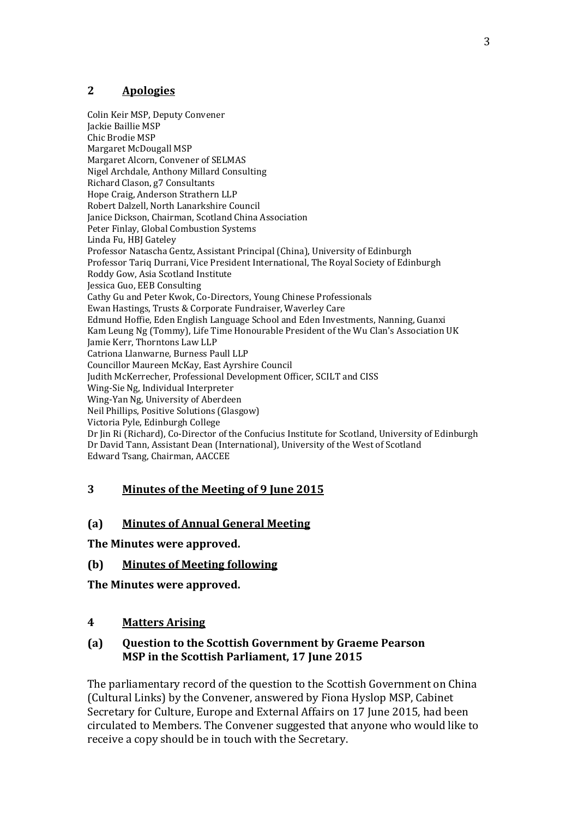# **2 Apologies**

Colin Keir MSP, Deputy Convener Jackie Baillie MSP Chic Brodie MSP Margaret McDougall MSP Margaret Alcorn, Convener of SELMAS Nigel Archdale, Anthony Millard Consulting Richard Clason, g7 Consultants Hope Craig, Anderson Strathern LLP Robert Dalzell, North Lanarkshire Council Janice Dickson, Chairman, Scotland China Association Peter Finlay, Global Combustion Systems Linda Fu, HBJ Gateley Professor Natascha Gentz, Assistant Principal (China), University of Edinburgh Professor Tariq Durrani, Vice President International, The Royal Society of Edinburgh Roddy Gow, Asia Scotland Institute Jessica Guo, EEB Consulting Cathy Gu and Peter Kwok, Co-Directors, Young Chinese Professionals Ewan Hastings, Trusts & Corporate Fundraiser, Waverley Care Edmund Hoffie, Eden English Language School and Eden Investments, Nanning, Guanxi Kam Leung Ng (Tommy), Life Time Honourable President of the Wu Clan's Association UK Jamie Kerr, Thorntons Law LLP Catriona Llanwarne, Burness Paull LLP Councillor Maureen McKay, East Ayrshire Council Judith McKerrecher, Professional Development Officer, SCILT and CISS Wing-Sie Ng, Individual Interpreter Wing-Yan Ng, University of Aberdeen Neil Phillips, Positive Solutions (Glasgow) Victoria Pyle, Edinburgh College Dr Jin Ri (Richard), Co-Director of the Confucius Institute for Scotland, University of Edinburgh Dr David Tann, Assistant Dean (International), University of the West of Scotland Edward Tsang, Chairman, AACCEE

# **3 Minutes of the Meeting of 9 June 2015**

## **(a) Minutes of Annual General Meeting**

**The Minutes were approved.**

## **(b) Minutes of Meeting following**

**The Minutes were approved.**

## **4 Matters Arising**

## **(a) Question to the Scottish Government by Graeme Pearson MSP in the Scottish Parliament, 17 June 2015**

The parliamentary record of the question to the Scottish Government on China (Cultural Links) by the Convener, answered by Fiona Hyslop MSP, Cabinet Secretary for Culture, Europe and External Affairs on 17 June 2015, had been circulated to Members. The Convener suggested that anyone who would like to receive a copy should be in touch with the Secretary.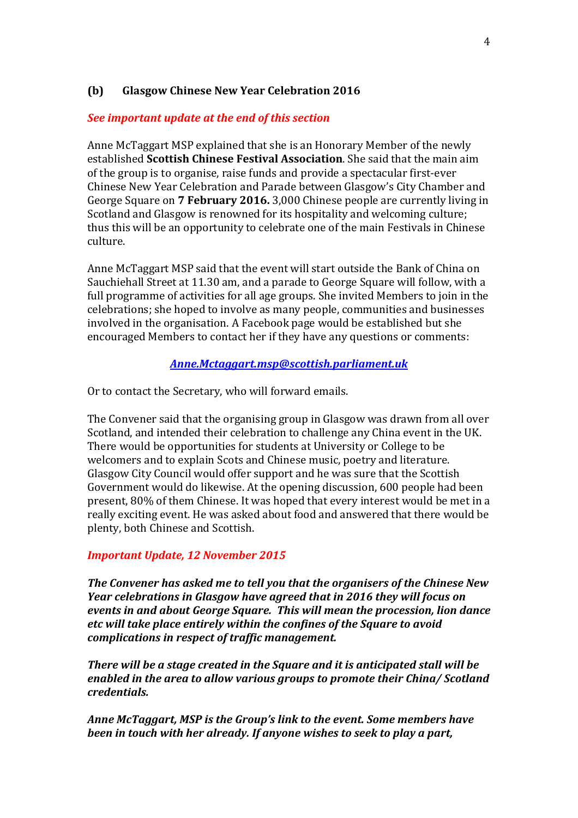## **(b) Glasgow Chinese New Year Celebration 2016**

### *See important update at the end of this section*

Anne McTaggart MSP explained that she is an Honorary Member of the newly established **Scottish Chinese Festival Association**. She said that the main aim of the group is to organise, raise funds and provide a spectacular first-ever Chinese New Year Celebration and Parade between Glasgow's City Chamber and George Square on **7 February 2016.** 3,000 Chinese people are currently living in Scotland and Glasgow is renowned for its hospitality and welcoming culture; thus this will be an opportunity to celebrate one of the main Festivals in Chinese culture.

Anne McTaggart MSP said that the event will start outside the Bank of China on Sauchiehall Street at 11.30 am, and a parade to George Square will follow, with a full programme of activities for all age groups. She invited Members to join in the celebrations; she hoped to involve as many people, communities and businesses involved in the organisation. A Facebook page would be established but she encouraged Members to contact her if they have any questions or comments:

### *[Anne.Mctaggart.msp@scottish.parliament.uk](mailto:Anne.Mctaggart.msp@scottish.parliament.uk)*

Or to contact the Secretary, who will forward emails.

The Convener said that the organising group in Glasgow was drawn from all over Scotland, and intended their celebration to challenge any China event in the UK. There would be opportunities for students at University or College to be welcomers and to explain Scots and Chinese music, poetry and literature. Glasgow City Council would offer support and he was sure that the Scottish Government would do likewise. At the opening discussion, 600 people had been present, 80% of them Chinese. It was hoped that every interest would be met in a really exciting event. He was asked about food and answered that there would be plenty, both Chinese and Scottish.

### *Important Update, 12 November 2015*

*The Convener has asked me to tell you that the organisers of the Chinese New Year celebrations in Glasgow have agreed that in 2016 they will focus on events in and about George Square. This will mean the procession, lion dance etc will take place entirely within the confines of the Square to avoid complications in respect of traffic management.*

*There will be a stage created in the Square and it is anticipated stall will be enabled in the area to allow various groups to promote their China/ Scotland credentials.*

*Anne McTaggart, MSP is the Group's link to the event. Some members have been in touch with her already. If anyone wishes to seek to play a part,*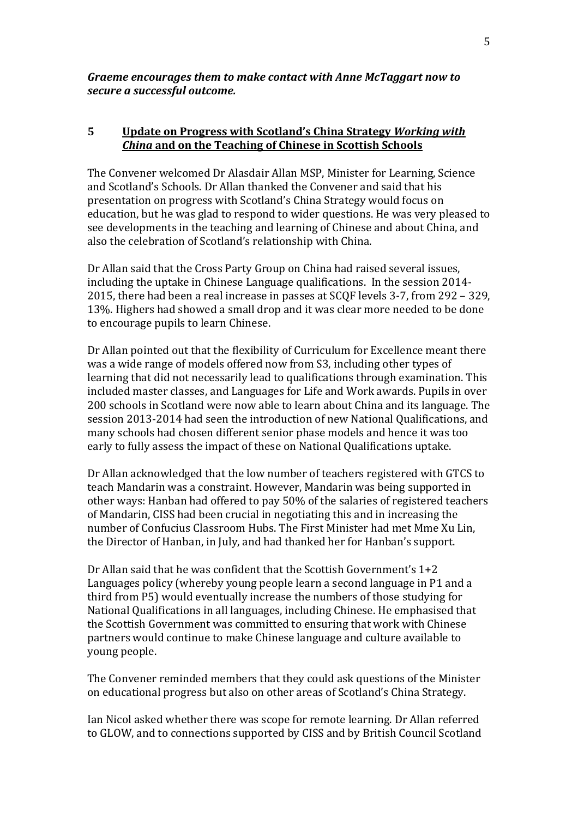*Graeme encourages them to make contact with Anne McTaggart now to secure a successful outcome.*

## **5 Update on Progress with Scotland's China Strategy** *Working with China* **and on the Teaching of Chinese in Scottish Schools**

The Convener welcomed Dr Alasdair Allan MSP, Minister for Learning, Science and Scotland's Schools. Dr Allan thanked the Convener and said that his presentation on progress with Scotland's China Strategy would focus on education, but he was glad to respond to wider questions. He was very pleased to see developments in the teaching and learning of Chinese and about China, and also the celebration of Scotland's relationship with China.

Dr Allan said that the Cross Party Group on China had raised several issues, including the uptake in Chinese Language qualifications. In the session 2014- 2015, there had been a real increase in passes at SCQF levels 3-7, from 292 – 329, 13%. Highers had showed a small drop and it was clear more needed to be done to encourage pupils to learn Chinese.

Dr Allan pointed out that the flexibility of Curriculum for Excellence meant there was a wide range of models offered now from S3, including other types of learning that did not necessarily lead to qualifications through examination. This included master classes, and Languages for Life and Work awards. Pupils in over 200 schools in Scotland were now able to learn about China and its language. The session 2013-2014 had seen the introduction of new National Qualifications, and many schools had chosen different senior phase models and hence it was too early to fully assess the impact of these on National Qualifications uptake.

Dr Allan acknowledged that the low number of teachers registered with GTCS to teach Mandarin was a constraint. However, Mandarin was being supported in other ways: Hanban had offered to pay 50% of the salaries of registered teachers of Mandarin, CISS had been crucial in negotiating this and in increasing the number of Confucius Classroom Hubs. The First Minister had met Mme Xu Lin, the Director of Hanban, in July, and had thanked her for Hanban's support.

Dr Allan said that he was confident that the Scottish Government's 1+2 Languages policy (whereby young people learn a second language in P1 and a third from P5) would eventually increase the numbers of those studying for National Qualifications in all languages, including Chinese. He emphasised that the Scottish Government was committed to ensuring that work with Chinese partners would continue to make Chinese language and culture available to young people.

The Convener reminded members that they could ask questions of the Minister on educational progress but also on other areas of Scotland's China Strategy.

Ian Nicol asked whether there was scope for remote learning. Dr Allan referred to GLOW, and to connections supported by CISS and by British Council Scotland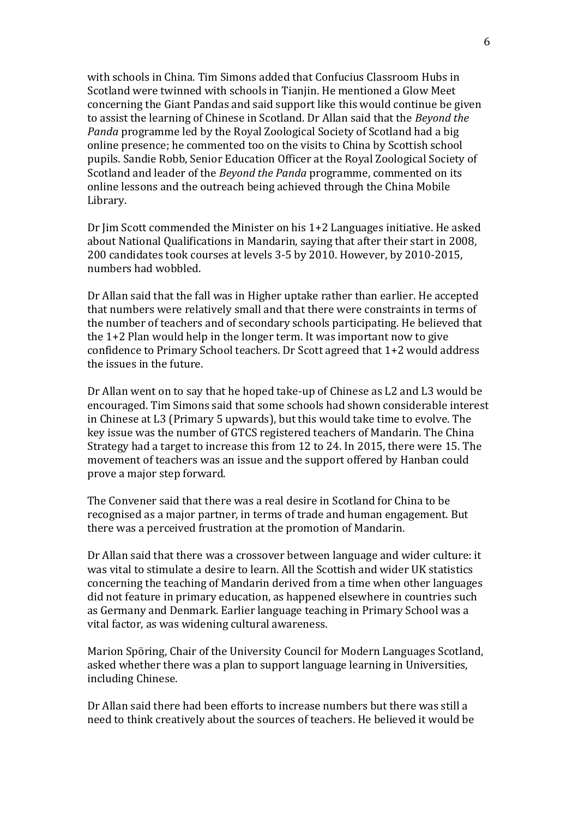with schools in China. Tim Simons added that Confucius Classroom Hubs in Scotland were twinned with schools in Tianjin. He mentioned a Glow Meet concerning the Giant Pandas and said support like this would continue be given to assist the learning of Chinese in Scotland. Dr Allan said that the *Beyond the Panda* programme led by the Royal Zoological Society of Scotland had a big online presence; he commented too on the visits to China by Scottish school pupils. Sandie Robb, Senior Education Officer at the Royal Zoological Society of Scotland and leader of the *Beyond the Panda* programme, commented on its online lessons and the outreach being achieved through the China Mobile Library.

Dr Jim Scott commended the Minister on his 1+2 Languages initiative. He asked about National Qualifications in Mandarin, saying that after their start in 2008, 200 candidates took courses at levels 3-5 by 2010. However, by 2010-2015, numbers had wobbled.

Dr Allan said that the fall was in Higher uptake rather than earlier. He accepted that numbers were relatively small and that there were constraints in terms of the number of teachers and of secondary schools participating. He believed that the 1+2 Plan would help in the longer term. It was important now to give confidence to Primary School teachers. Dr Scott agreed that 1+2 would address the issues in the future.

Dr Allan went on to say that he hoped take-up of Chinese as L2 and L3 would be encouraged. Tim Simons said that some schools had shown considerable interest in Chinese at L3 (Primary 5 upwards), but this would take time to evolve. The key issue was the number of GTCS registered teachers of Mandarin. The China Strategy had a target to increase this from 12 to 24. In 2015, there were 15. The movement of teachers was an issue and the support offered by Hanban could prove a major step forward.

The Convener said that there was a real desire in Scotland for China to be recognised as a major partner, in terms of trade and human engagement. But there was a perceived frustration at the promotion of Mandarin.

Dr Allan said that there was a crossover between language and wider culture: it was vital to stimulate a desire to learn. All the Scottish and wider UK statistics concerning the teaching of Mandarin derived from a time when other languages did not feature in primary education, as happened elsewhere in countries such as Germany and Denmark. Earlier language teaching in Primary School was a vital factor, as was widening cultural awareness.

Marion Spöring, Chair of the University Council for Modern Languages Scotland, asked whether there was a plan to support language learning in Universities, including Chinese.

Dr Allan said there had been efforts to increase numbers but there was still a need to think creatively about the sources of teachers. He believed it would be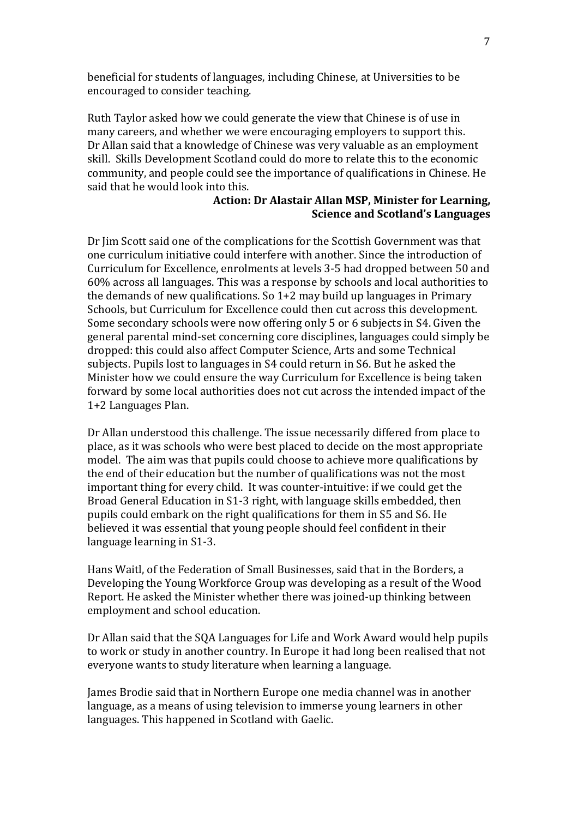beneficial for students of languages, including Chinese, at Universities to be encouraged to consider teaching.

Ruth Taylor asked how we could generate the view that Chinese is of use in many careers, and whether we were encouraging employers to support this. Dr Allan said that a knowledge of Chinese was very valuable as an employment skill. Skills Development Scotland could do more to relate this to the economic community, and people could see the importance of qualifications in Chinese. He said that he would look into this.

## **Action: Dr Alastair Allan MSP, Minister for Learning, Science and Scotland's Languages**

Dr Jim Scott said one of the complications for the Scottish Government was that one curriculum initiative could interfere with another. Since the introduction of Curriculum for Excellence, enrolments at levels 3-5 had dropped between 50 and 60% across all languages. This was a response by schools and local authorities to the demands of new qualifications. So 1+2 may build up languages in Primary Schools, but Curriculum for Excellence could then cut across this development. Some secondary schools were now offering only 5 or 6 subjects in S4. Given the general parental mind-set concerning core disciplines, languages could simply be dropped: this could also affect Computer Science, Arts and some Technical subjects. Pupils lost to languages in S4 could return in S6. But he asked the Minister how we could ensure the way Curriculum for Excellence is being taken forward by some local authorities does not cut across the intended impact of the 1+2 Languages Plan.

Dr Allan understood this challenge. The issue necessarily differed from place to place, as it was schools who were best placed to decide on the most appropriate model. The aim was that pupils could choose to achieve more qualifications by the end of their education but the number of qualifications was not the most important thing for every child. It was counter-intuitive: if we could get the Broad General Education in S1-3 right, with language skills embedded, then pupils could embark on the right qualifications for them in S5 and S6. He believed it was essential that young people should feel confident in their language learning in S1-3.

Hans Waitl, of the Federation of Small Businesses, said that in the Borders, a Developing the Young Workforce Group was developing as a result of the Wood Report. He asked the Minister whether there was joined-up thinking between employment and school education.

Dr Allan said that the SQA Languages for Life and Work Award would help pupils to work or study in another country. In Europe it had long been realised that not everyone wants to study literature when learning a language.

James Brodie said that in Northern Europe one media channel was in another language, as a means of using television to immerse young learners in other languages. This happened in Scotland with Gaelic.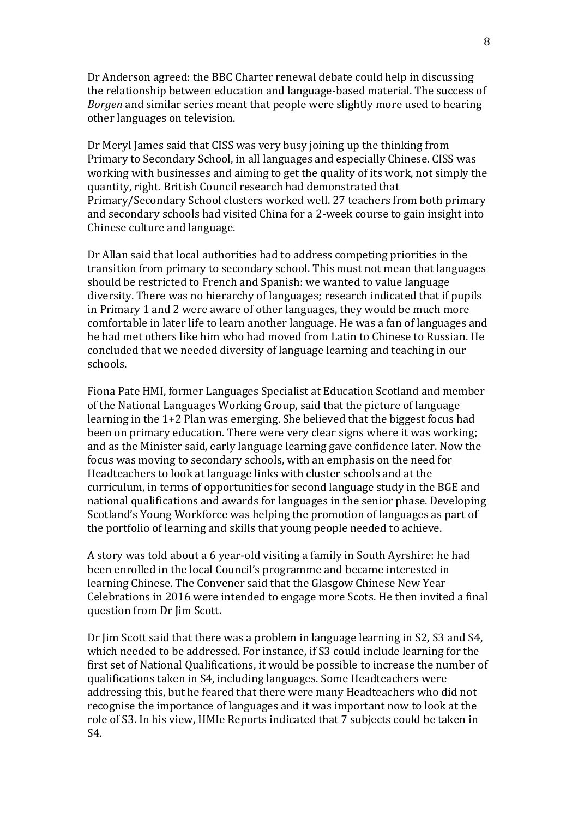Dr Anderson agreed: the BBC Charter renewal debate could help in discussing the relationship between education and language-based material. The success of *Borgen* and similar series meant that people were slightly more used to hearing other languages on television.

Dr Meryl James said that CISS was very busy joining up the thinking from Primary to Secondary School, in all languages and especially Chinese. CISS was working with businesses and aiming to get the quality of its work, not simply the quantity, right. British Council research had demonstrated that Primary/Secondary School clusters worked well. 27 teachers from both primary and secondary schools had visited China for a 2-week course to gain insight into Chinese culture and language.

Dr Allan said that local authorities had to address competing priorities in the transition from primary to secondary school. This must not mean that languages should be restricted to French and Spanish: we wanted to value language diversity. There was no hierarchy of languages; research indicated that if pupils in Primary 1 and 2 were aware of other languages, they would be much more comfortable in later life to learn another language. He was a fan of languages and he had met others like him who had moved from Latin to Chinese to Russian. He concluded that we needed diversity of language learning and teaching in our schools.

Fiona Pate HMI, former Languages Specialist at Education Scotland and member of the National Languages Working Group, said that the picture of language learning in the 1+2 Plan was emerging. She believed that the biggest focus had been on primary education. There were very clear signs where it was working; and as the Minister said, early language learning gave confidence later. Now the focus was moving to secondary schools, with an emphasis on the need for Headteachers to look at language links with cluster schools and at the curriculum, in terms of opportunities for second language study in the BGE and national qualifications and awards for languages in the senior phase. Developing Scotland's Young Workforce was helping the promotion of languages as part of the portfolio of learning and skills that young people needed to achieve.

A story was told about a 6 year-old visiting a family in South Ayrshire: he had been enrolled in the local Council's programme and became interested in learning Chinese. The Convener said that the Glasgow Chinese New Year Celebrations in 2016 were intended to engage more Scots. He then invited a final question from Dr Jim Scott.

Dr Jim Scott said that there was a problem in language learning in S2, S3 and S4, which needed to be addressed. For instance, if S3 could include learning for the first set of National Qualifications, it would be possible to increase the number of qualifications taken in S4, including languages. Some Headteachers were addressing this, but he feared that there were many Headteachers who did not recognise the importance of languages and it was important now to look at the role of S3. In his view, HMIe Reports indicated that 7 subjects could be taken in S4.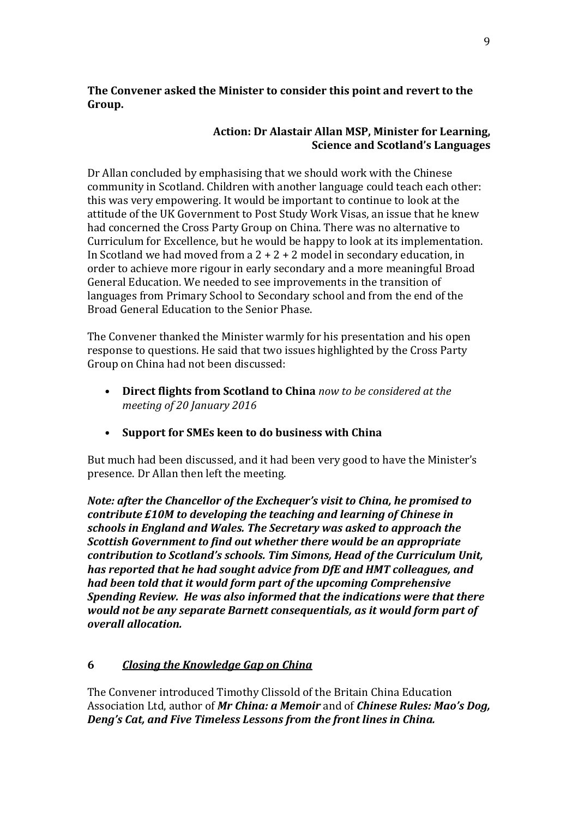**The Convener asked the Minister to consider this point and revert to the Group.**

## **Action: Dr Alastair Allan MSP, Minister for Learning, Science and Scotland's Languages**

Dr Allan concluded by emphasising that we should work with the Chinese community in Scotland. Children with another language could teach each other: this was very empowering. It would be important to continue to look at the attitude of the UK Government to Post Study Work Visas, an issue that he knew had concerned the Cross Party Group on China. There was no alternative to Curriculum for Excellence, but he would be happy to look at its implementation. In Scotland we had moved from a  $2 + 2 + 2$  model in secondary education, in order to achieve more rigour in early secondary and a more meaningful Broad General Education. We needed to see improvements in the transition of languages from Primary School to Secondary school and from the end of the Broad General Education to the Senior Phase.

The Convener thanked the Minister warmly for his presentation and his open response to questions. He said that two issues highlighted by the Cross Party Group on China had not been discussed:

- **Direct flights from Scotland to China** *now to be considered at the meeting of 20 January 2016*
- **Support for SMEs keen to do business with China**

But much had been discussed, and it had been very good to have the Minister's presence. Dr Allan then left the meeting.

*Note: after the Chancellor of the Exchequer's visit to China, he promised to contribute £10M to developing the teaching and learning of Chinese in schools in England and Wales. The Secretary was asked to approach the Scottish Government to find out whether there would be an appropriate contribution to Scotland's schools. Tim Simons, Head of the Curriculum Unit, has reported that he had sought advice from DfE and HMT colleagues, and had been told that it would form part of the upcoming Comprehensive Spending Review. He was also informed that the indications were that there would not be any separate Barnett consequentials, as it would form part of overall allocation.*

# **6** *Closing the Knowledge Gap on China*

The Convener introduced Timothy Clissold of the Britain China Education Association Ltd, author of *Mr China: a Memoir* and of *Chinese Rules: Mao's Dog, Deng's Cat, and Five Timeless Lessons from the front lines in China.*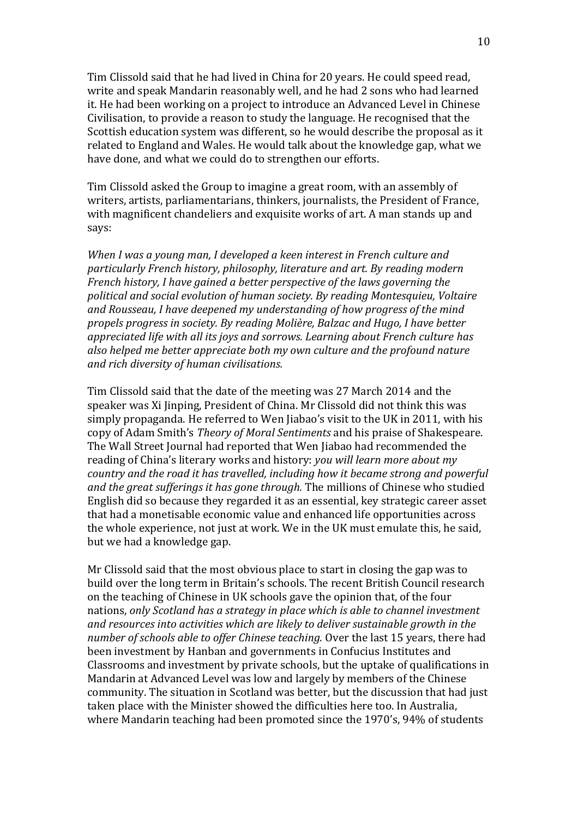Tim Clissold said that he had lived in China for 20 years. He could speed read, write and speak Mandarin reasonably well, and he had 2 sons who had learned it. He had been working on a project to introduce an Advanced Level in Chinese Civilisation, to provide a reason to study the language. He recognised that the Scottish education system was different, so he would describe the proposal as it related to England and Wales. He would talk about the knowledge gap, what we have done, and what we could do to strengthen our efforts.

Tim Clissold asked the Group to imagine a great room, with an assembly of writers, artists, parliamentarians, thinkers, journalists, the President of France, with magnificent chandeliers and exquisite works of art. A man stands up and says:

*When I was a young man, I developed a keen interest in French culture and particularly French history, philosophy, literature and art. By reading modern French history, I have gained a better perspective of the laws governing the political and social evolution of human society. By reading Montesquieu, Voltaire and Rousseau, I have deepened my understanding of how progress of the mind propels progress in society. By reading Molière, Balzac and Hugo, I have better appreciated life with all its joys and sorrows. Learning about French culture has also helped me better appreciate both my own culture and the profound nature and rich diversity of human civilisations.*

Tim Clissold said that the date of the meeting was 27 March 2014 and the speaker was Xi Jinping, President of China. Mr Clissold did not think this was simply propaganda. He referred to Wen Jiabao's visit to the UK in 2011, with his copy of Adam Smith's *Theory of Moral Sentiments* and his praise of Shakespeare. The Wall Street Journal had reported that Wen Jiabao had recommended the reading of China's literary works and history: *you will learn more about my country and the road it has travelled, including how it became strong and powerful and the great sufferings it has gone through.* The millions of Chinese who studied English did so because they regarded it as an essential, key strategic career asset that had a monetisable economic value and enhanced life opportunities across the whole experience, not just at work. We in the UK must emulate this, he said, but we had a knowledge gap.

Mr Clissold said that the most obvious place to start in closing the gap was to build over the long term in Britain's schools. The recent British Council research on the teaching of Chinese in UK schools gave the opinion that, of the four nations, *only Scotland has a strategy in place which is able to channel investment and resources into activities which are likely to deliver sustainable growth in the number of schools able to offer Chinese teaching.* Over the last 15 years, there had been investment by Hanban and governments in Confucius Institutes and Classrooms and investment by private schools, but the uptake of qualifications in Mandarin at Advanced Level was low and largely by members of the Chinese community. The situation in Scotland was better, but the discussion that had just taken place with the Minister showed the difficulties here too. In Australia, where Mandarin teaching had been promoted since the 1970's, 94% of students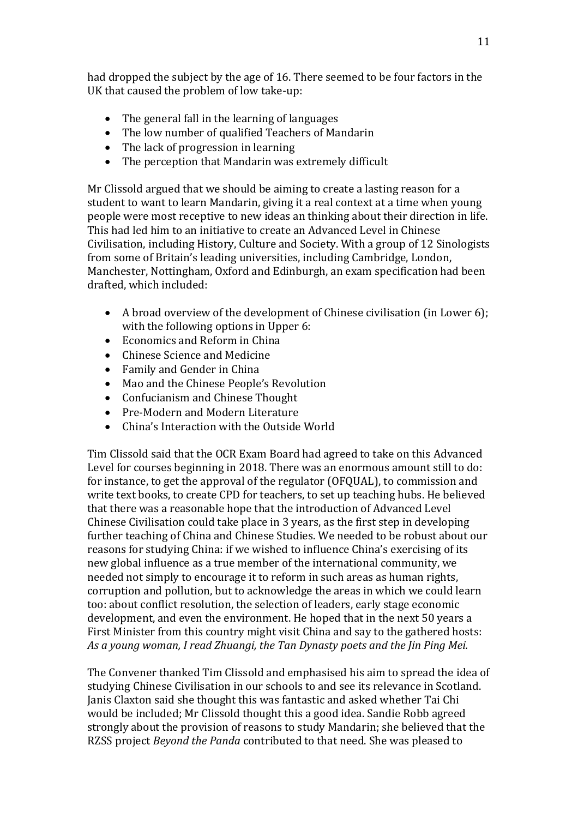had dropped the subject by the age of 16. There seemed to be four factors in the UK that caused the problem of low take-up:

- The general fall in the learning of languages
- The low number of qualified Teachers of Mandarin
- The lack of progression in learning
- The perception that Mandarin was extremely difficult

Mr Clissold argued that we should be aiming to create a lasting reason for a student to want to learn Mandarin, giving it a real context at a time when young people were most receptive to new ideas an thinking about their direction in life. This had led him to an initiative to create an Advanced Level in Chinese Civilisation, including History, Culture and Society. With a group of 12 Sinologists from some of Britain's leading universities, including Cambridge, London, Manchester, Nottingham, Oxford and Edinburgh, an exam specification had been drafted, which included:

- A broad overview of the development of Chinese civilisation (in Lower 6); with the following options in Upper 6:
- Economics and Reform in China
- Chinese Science and Medicine
- Family and Gender in China
- Mao and the Chinese People's Revolution
- Confucianism and Chinese Thought
- Pre-Modern and Modern Literature
- China's Interaction with the Outside World

Tim Clissold said that the OCR Exam Board had agreed to take on this Advanced Level for courses beginning in 2018. There was an enormous amount still to do: for instance, to get the approval of the regulator (OFQUAL), to commission and write text books, to create CPD for teachers, to set up teaching hubs. He believed that there was a reasonable hope that the introduction of Advanced Level Chinese Civilisation could take place in 3 years, as the first step in developing further teaching of China and Chinese Studies. We needed to be robust about our reasons for studying China: if we wished to influence China's exercising of its new global influence as a true member of the international community, we needed not simply to encourage it to reform in such areas as human rights, corruption and pollution, but to acknowledge the areas in which we could learn too: about conflict resolution, the selection of leaders, early stage economic development, and even the environment. He hoped that in the next 50 years a First Minister from this country might visit China and say to the gathered hosts: *As a young woman, I read Zhuangi, the Tan Dynasty poets and the Jin Ping Mei.*

The Convener thanked Tim Clissold and emphasised his aim to spread the idea of studying Chinese Civilisation in our schools to and see its relevance in Scotland. Janis Claxton said she thought this was fantastic and asked whether Tai Chi would be included; Mr Clissold thought this a good idea. Sandie Robb agreed strongly about the provision of reasons to study Mandarin; she believed that the RZSS project *Beyond the Panda* contributed to that need. She was pleased to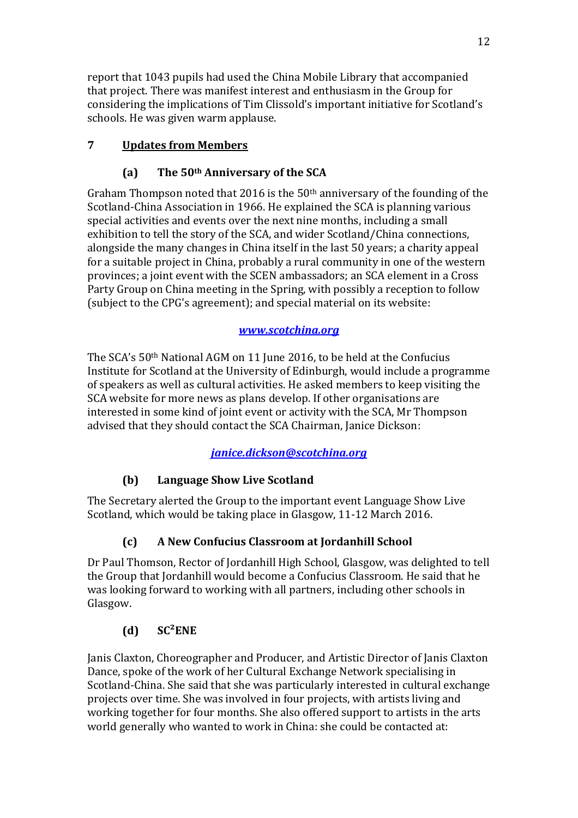report that 1043 pupils had used the China Mobile Library that accompanied that project. There was manifest interest and enthusiasm in the Group for considering the implications of Tim Clissold's important initiative for Scotland's schools. He was given warm applause.

# **7 Updates from Members**

# **(a) The 50th Anniversary of the SCA**

Graham Thompson noted that 2016 is the 50th anniversary of the founding of the Scotland-China Association in 1966. He explained the SCA is planning various special activities and events over the next nine months, including a small exhibition to tell the story of the SCA, and wider Scotland/China connections, alongside the many changes in China itself in the last 50 years; a charity appeal for a suitable project in China, probably a rural community in one of the western provinces; a joint event with the SCEN ambassadors; an SCA element in a Cross Party Group on China meeting in the Spring, with possibly a reception to follow (subject to the CPG's agreement); and special material on its website:

# *[www.scotchina.org](http://www.scotchina.org/)*

The SCA's 50th National AGM on 11 June 2016, to be held at the Confucius Institute for Scotland at the University of Edinburgh, would include a programme of speakers as well as cultural activities. He asked members to keep visiting the SCA website for more news as plans develop. If other organisations are interested in some kind of joint event or activity with the SCA, Mr Thompson advised that they should contact the SCA Chairman, Janice Dickson:

# *[janice.dickson@scotchina.org](mailto:janice.dickson@scotchina.org)*

# **(b) Language Show Live Scotland**

The Secretary alerted the Group to the important event Language Show Live Scotland, which would be taking place in Glasgow, 11-12 March 2016.

# **(c) A New Confucius Classroom at Jordanhill School**

Dr Paul Thomson, Rector of Jordanhill High School, Glasgow, was delighted to tell the Group that Jordanhill would become a Confucius Classroom. He said that he was looking forward to working with all partners, including other schools in Glasgow.

# **(d) SC²ENE**

Janis Claxton, Choreographer and Producer, and Artistic Director of Janis Claxton Dance, spoke of the work of her Cultural Exchange Network specialising in Scotland-China. She said that she was particularly interested in cultural exchange projects over time. She was involved in four projects, with artists living and working together for four months. She also offered support to artists in the arts world generally who wanted to work in China: she could be contacted at: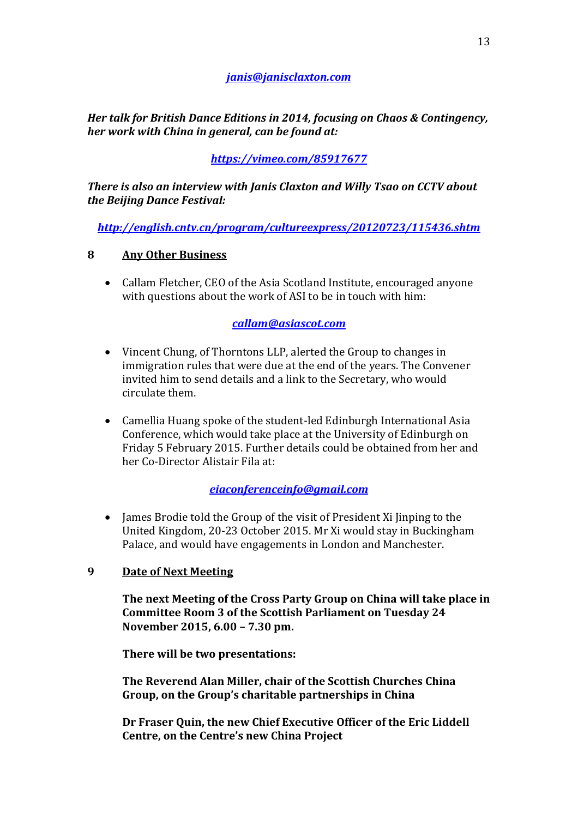## *janis@janisclaxton.com*

*Her talk for British Dance Editions in 2014, focusing on Chaos & Contingency, her work with China in general, can be found at:* 

# *<https://vimeo.com/85917677>*

*There is also an interview with Janis Claxton and Willy Tsao on CCTV about the Beijing Dance Festival:*

*<http://english.cntv.cn/program/cultureexpress/20120723/115436.shtm>*

### **8 Any Other Business**

• Callam Fletcher, CEO of the Asia Scotland Institute, encouraged anyone with questions about the work of ASI to be in touch with him:

### *callam@asiascot.com*

- Vincent Chung, of Thorntons LLP, alerted the Group to changes in immigration rules that were due at the end of the years. The Convener invited him to send details and a link to the Secretary, who would circulate them.
- Camellia Huang spoke of the student-led Edinburgh International Asia Conference, which would take place at the University of Edinburgh on Friday 5 February 2015. Further details could be obtained from her and her Co-Director Alistair Fila at:

### *eiaconferenceinfo@gmail.com*

• James Brodie told the Group of the visit of President Xi Jinping to the United Kingdom, 20-23 October 2015. Mr Xi would stay in Buckingham Palace, and would have engagements in London and Manchester.

### **9 Date of Next Meeting**

**The next Meeting of the Cross Party Group on China will take place in Committee Room 3 of the Scottish Parliament on Tuesday 24 November 2015, 6.00 – 7.30 pm.**

**There will be two presentations:**

**The Reverend Alan Miller, chair of the Scottish Churches China Group, on the Group's charitable partnerships in China**

**Dr Fraser Quin, the new Chief Executive Officer of the Eric Liddell Centre, on the Centre's new China Project**